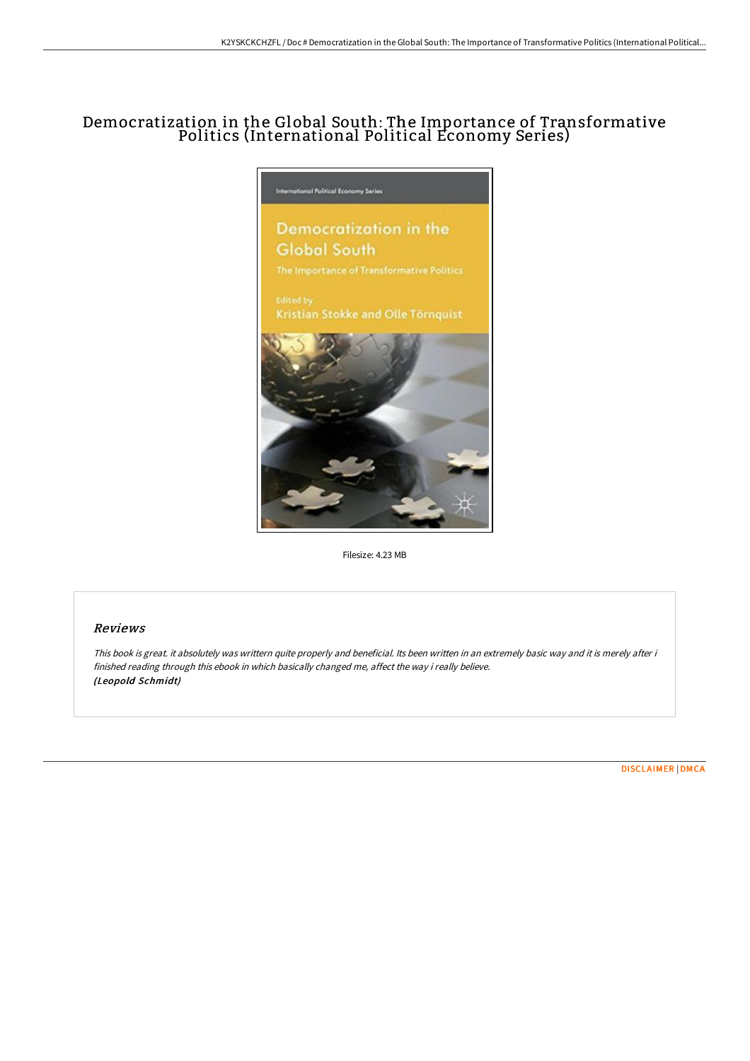# Democratization in the Global South: The Importance of Transformative Politics (International Political Economy Series)



Filesize: 4.23 MB

## Reviews

This book is great. it absolutely was writtern quite properly and beneficial. Its been written in an extremely basic way and it is merely after i finished reading through this ebook in which basically changed me, affect the way i really believe. (Leopold Schmidt)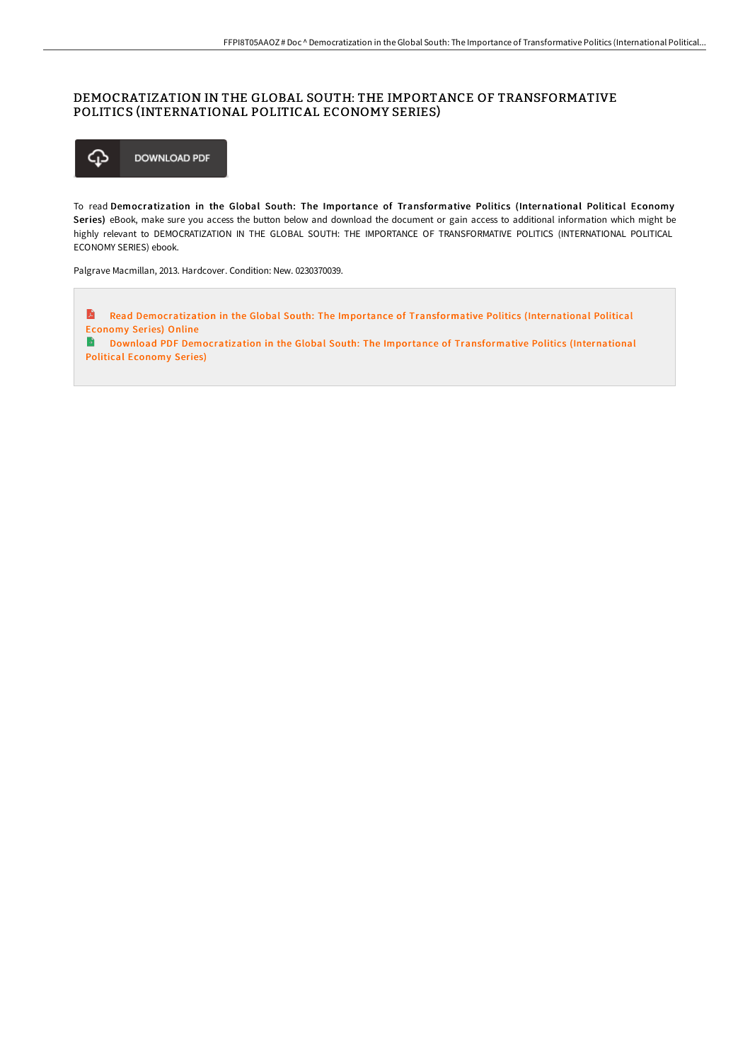# DEMOCRATIZATION IN THE GLOBAL SOUTH: THE IMPORTANCE OF TRANSFORMATIVE POLITICS (INTERNATIONAL POLITICAL ECONOMY SERIES)



To read Democratization in the Global South: The Importance of Transformative Politics (International Political Economy Series) eBook, make sure you access the button below and download the document or gain access to additional information which might be highly relevant to DEMOCRATIZATION IN THE GLOBAL SOUTH: THE IMPORTANCE OF TRANSFORMATIVE POLITICS (INTERNATIONAL POLITICAL ECONOMY SERIES) ebook.

Palgrave Macmillan, 2013. Hardcover. Condition: New. 0230370039.